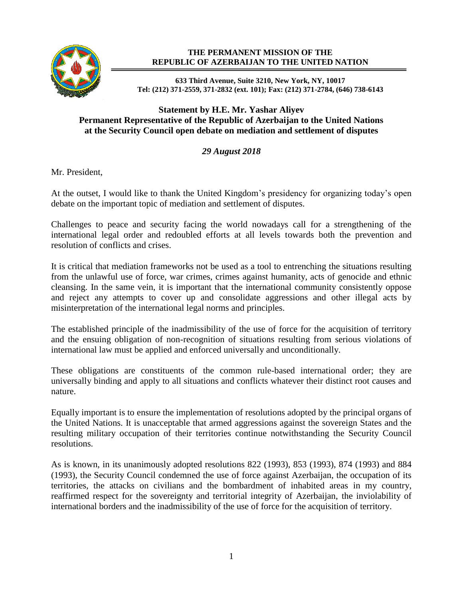

## **THE PERMANENT MISSION OF THE REPUBLIC OF AZERBAIJAN TO THE UNITED NATION**

**633 Third Avenue, Suite 3210, New York, NY, 10017 Tel: (212) 371-2559, 371-2832 (ext. 101); Fax: (212) 371-2784, (646) 738-6143**

## **Statement by H.E. Mr. Yashar Aliyev Permanent Representative of the Republic of Azerbaijan to the United Nations at the Security Council open debate on mediation and settlement of disputes**

## *29 August 2018*

Mr. President,

At the outset, I would like to thank the United Kingdom's presidency for organizing today's open debate on the important topic of mediation and settlement of disputes.

Challenges to peace and security facing the world nowadays call for a strengthening of the international legal order and redoubled efforts at all levels towards both the prevention and resolution of conflicts and crises.

It is critical that mediation frameworks not be used as a tool to entrenching the situations resulting from the unlawful use of force, war crimes, crimes against humanity, acts of genocide and ethnic cleansing. In the same vein, it is important that the international community consistently oppose and reject any attempts to cover up and consolidate aggressions and other illegal acts by misinterpretation of the international legal norms and principles.

The established principle of the inadmissibility of the use of force for the acquisition of territory and the ensuing obligation of non-recognition of situations resulting from serious violations of international law must be applied and enforced universally and unconditionally.

These obligations are constituents of the common rule-based international order; they are universally binding and apply to all situations and conflicts whatever their distinct root causes and nature.

Equally important is to ensure the implementation of resolutions adopted by the principal organs of the United Nations. It is unacceptable that armed aggressions against the sovereign States and the resulting military occupation of their territories continue notwithstanding the Security Council resolutions.

As is known, in its unanimously adopted resolutions 822 (1993), 853 (1993), 874 (1993) and 884 (1993), the Security Council condemned the use of force against Azerbaijan, the occupation of its territories, the attacks on civilians and the bombardment of inhabited areas in my country, reaffirmed respect for the sovereignty and territorial integrity of Azerbaijan, the inviolability of international borders and the inadmissibility of the use of force for the acquisition of territory.